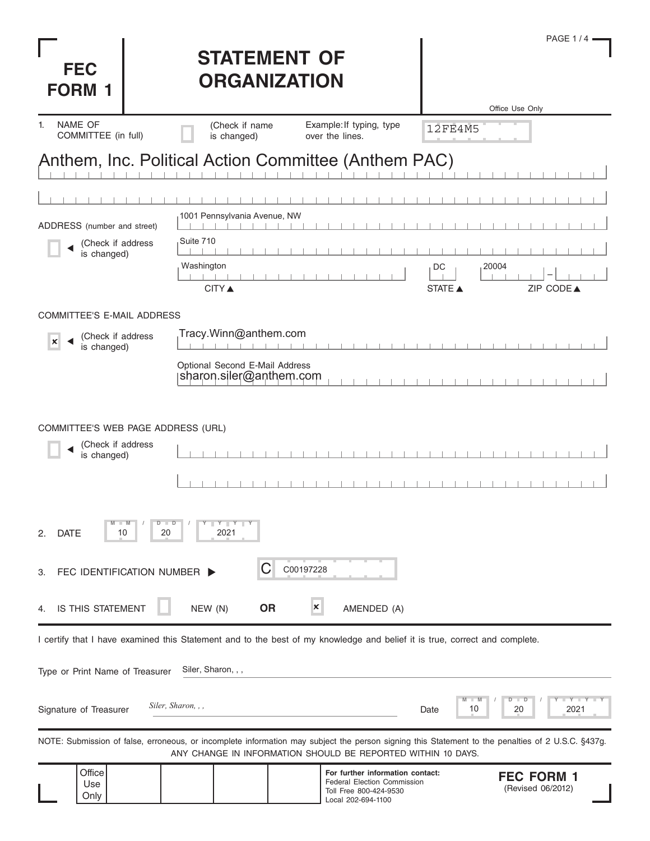| <b>FEC</b><br><b>FORM 1</b>                                                                                                                                                                                       | <b>STATEMENT OF</b><br><b>ORGANIZATION</b>                                                                                 |                                                                                                                 | PAGE $1/4$ $=$<br>Office Use Only      |
|-------------------------------------------------------------------------------------------------------------------------------------------------------------------------------------------------------------------|----------------------------------------------------------------------------------------------------------------------------|-----------------------------------------------------------------------------------------------------------------|----------------------------------------|
| <b>NAME OF</b><br>1.<br>COMMITTEE (in full)                                                                                                                                                                       | (Check if name<br>is changed)<br>over the lines.                                                                           | Example: If typing, type                                                                                        | <b>12FE4M5</b>                         |
|                                                                                                                                                                                                                   | Anthem, Inc. Political Action Committee (Anthem PAC)                                                                       |                                                                                                                 |                                        |
|                                                                                                                                                                                                                   |                                                                                                                            |                                                                                                                 |                                        |
| ADDRESS (number and street)                                                                                                                                                                                       | 1001 Pennsylvania Avenue, NW                                                                                               |                                                                                                                 |                                        |
| (Check if address<br>is changed)                                                                                                                                                                                  | Suite 710<br>Washington<br><b>CITY</b> ▲                                                                                   | DC                                                                                                              | 20004<br>ZIP CODE▲<br><b>STATE ▲</b>   |
| <b>COMMITTEE'S E-MAIL ADDRESS</b>                                                                                                                                                                                 |                                                                                                                            |                                                                                                                 |                                        |
| (Check if address<br>×<br>is changed)                                                                                                                                                                             | Tracy.Winn@anthem.com                                                                                                      |                                                                                                                 |                                        |
|                                                                                                                                                                                                                   | Optional Second E-Mail Address<br>sharon.siler@anthem.com                                                                  |                                                                                                                 |                                        |
| COMMITTEE'S WEB PAGE ADDRESS (URL)<br>(Check if address<br>is changed)                                                                                                                                            |                                                                                                                            |                                                                                                                 |                                        |
| $Y \parallel Y \parallel Y$<br><b>DATE</b><br>20<br>2021<br>2.<br>10                                                                                                                                              |                                                                                                                            |                                                                                                                 |                                        |
| C<br>C00197228<br>FEC IDENTIFICATION NUMBER<br>З.                                                                                                                                                                 |                                                                                                                            |                                                                                                                 |                                        |
| <b>IS THIS STATEMENT</b><br>4.                                                                                                                                                                                    | NEW (N)<br><b>OR</b><br>X                                                                                                  | AMENDED (A)                                                                                                     |                                        |
|                                                                                                                                                                                                                   | I certify that I have examined this Statement and to the best of my knowledge and belief it is true, correct and complete. |                                                                                                                 |                                        |
| Type or Print Name of Treasurer                                                                                                                                                                                   | Siler, Sharon, , ,                                                                                                         |                                                                                                                 |                                        |
| Signature of Treasurer                                                                                                                                                                                            | Siler, Sharon, , ,                                                                                                         | Date                                                                                                            | $-Y - Y$<br>ם<br>2021<br>10<br>20      |
| NOTE: Submission of false, erroneous, or incomplete information may subject the person signing this Statement to the penalties of 2 U.S.C. §437g.<br>ANY CHANGE IN INFORMATION SHOULD BE REPORTED WITHIN 10 DAYS. |                                                                                                                            |                                                                                                                 |                                        |
| Office<br>Use<br>Only                                                                                                                                                                                             |                                                                                                                            | For further information contact:<br>Federal Election Commission<br>Toll Free 800-424-9530<br>Local 202-694-1100 | <b>FEC FORM 1</b><br>(Revised 06/2012) |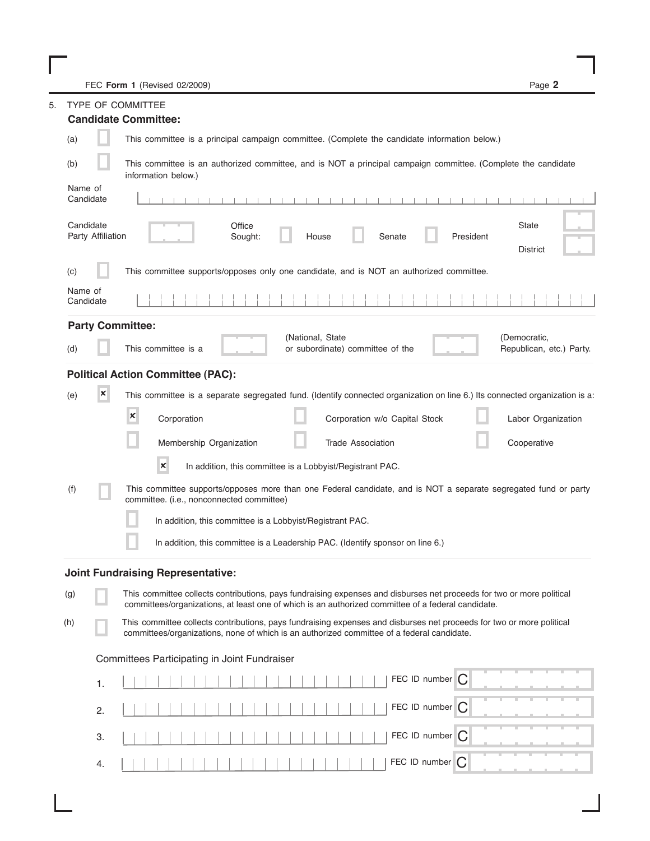FEC Form 1 (Revised 02/2009)

I

| <b>TYPE OF COMMITTEE</b><br>5.                                                                                                 |                                                                                                                                             |                                                                                                                                                              |                                                                                                                                                                                                                             |  |  |
|--------------------------------------------------------------------------------------------------------------------------------|---------------------------------------------------------------------------------------------------------------------------------------------|--------------------------------------------------------------------------------------------------------------------------------------------------------------|-----------------------------------------------------------------------------------------------------------------------------------------------------------------------------------------------------------------------------|--|--|
|                                                                                                                                |                                                                                                                                             | <b>Candidate Committee:</b>                                                                                                                                  |                                                                                                                                                                                                                             |  |  |
|                                                                                                                                | This committee is a principal campaign committee. (Complete the candidate information below.)<br>(a)                                        |                                                                                                                                                              |                                                                                                                                                                                                                             |  |  |
|                                                                                                                                | This committee is an authorized committee, and is NOT a principal campaign committee. (Complete the candidate<br>(b)<br>information below.) |                                                                                                                                                              |                                                                                                                                                                                                                             |  |  |
|                                                                                                                                | Name of<br>Candidate<br>$-1$ $-1$ $-1$                                                                                                      |                                                                                                                                                              |                                                                                                                                                                                                                             |  |  |
|                                                                                                                                | Candidate<br><b>State</b><br>Office<br>Party Affiliation<br>House<br>Senate<br>President<br>Sought:<br>District                             |                                                                                                                                                              |                                                                                                                                                                                                                             |  |  |
|                                                                                                                                | (c)                                                                                                                                         |                                                                                                                                                              | This committee supports/opposes only one candidate, and is NOT an authorized committee.                                                                                                                                     |  |  |
| Name of<br>Candidate                                                                                                           |                                                                                                                                             |                                                                                                                                                              |                                                                                                                                                                                                                             |  |  |
|                                                                                                                                |                                                                                                                                             |                                                                                                                                                              | <b>Party Committee:</b>                                                                                                                                                                                                     |  |  |
| (National, State<br>(Democratic,<br>This committee is a<br>or subordinate) committee of the<br>Republican, etc.) Party.<br>(d) |                                                                                                                                             |                                                                                                                                                              |                                                                                                                                                                                                                             |  |  |
|                                                                                                                                |                                                                                                                                             |                                                                                                                                                              | <b>Political Action Committee (PAC):</b>                                                                                                                                                                                    |  |  |
|                                                                                                                                | (e)                                                                                                                                         | $\pmb{\times}$                                                                                                                                               | This committee is a separate segregated fund. (Identify connected organization on line 6.) Its connected organization is a:                                                                                                 |  |  |
|                                                                                                                                |                                                                                                                                             |                                                                                                                                                              | $\boldsymbol{\mathsf{x}}$<br>Corporation<br>Corporation w/o Capital Stock<br>Labor Organization                                                                                                                             |  |  |
|                                                                                                                                |                                                                                                                                             |                                                                                                                                                              | Membership Organization<br><b>Trade Association</b><br>Cooperative                                                                                                                                                          |  |  |
|                                                                                                                                |                                                                                                                                             |                                                                                                                                                              | $\pmb{\times}$<br>In addition, this committee is a Lobbyist/Registrant PAC.                                                                                                                                                 |  |  |
|                                                                                                                                | (f)                                                                                                                                         | This committee supports/opposes more than one Federal candidate, and is NOT a separate segregated fund or party<br>committee. (i.e., nonconnected committee) |                                                                                                                                                                                                                             |  |  |
|                                                                                                                                |                                                                                                                                             |                                                                                                                                                              | In addition, this committee is a Lobbyist/Registrant PAC.                                                                                                                                                                   |  |  |
|                                                                                                                                | In addition, this committee is a Leadership PAC. (Identify sponsor on line 6.)                                                              |                                                                                                                                                              |                                                                                                                                                                                                                             |  |  |
|                                                                                                                                |                                                                                                                                             |                                                                                                                                                              | Joint Fundraising Representative:                                                                                                                                                                                           |  |  |
|                                                                                                                                | (g)                                                                                                                                         |                                                                                                                                                              | This committee collects contributions, pays fundraising expenses and disburses net proceeds for two or more political<br>committees/organizations, at least one of which is an authorized committee of a federal candidate. |  |  |
|                                                                                                                                | (h)                                                                                                                                         |                                                                                                                                                              | This committee collects contributions, pays fundraising expenses and disburses net proceeds for two or more political<br>committees/organizations, none of which is an authorized committee of a federal candidate.         |  |  |
|                                                                                                                                | Committees Participating in Joint Fundraiser                                                                                                |                                                                                                                                                              |                                                                                                                                                                                                                             |  |  |
|                                                                                                                                |                                                                                                                                             | 1.                                                                                                                                                           | FEC ID number C                                                                                                                                                                                                             |  |  |
|                                                                                                                                |                                                                                                                                             | 2.                                                                                                                                                           | FEC ID number<br>C                                                                                                                                                                                                          |  |  |
|                                                                                                                                |                                                                                                                                             | 3.                                                                                                                                                           | FEC ID number C                                                                                                                                                                                                             |  |  |
|                                                                                                                                |                                                                                                                                             | 4.                                                                                                                                                           | FEC ID number   C                                                                                                                                                                                                           |  |  |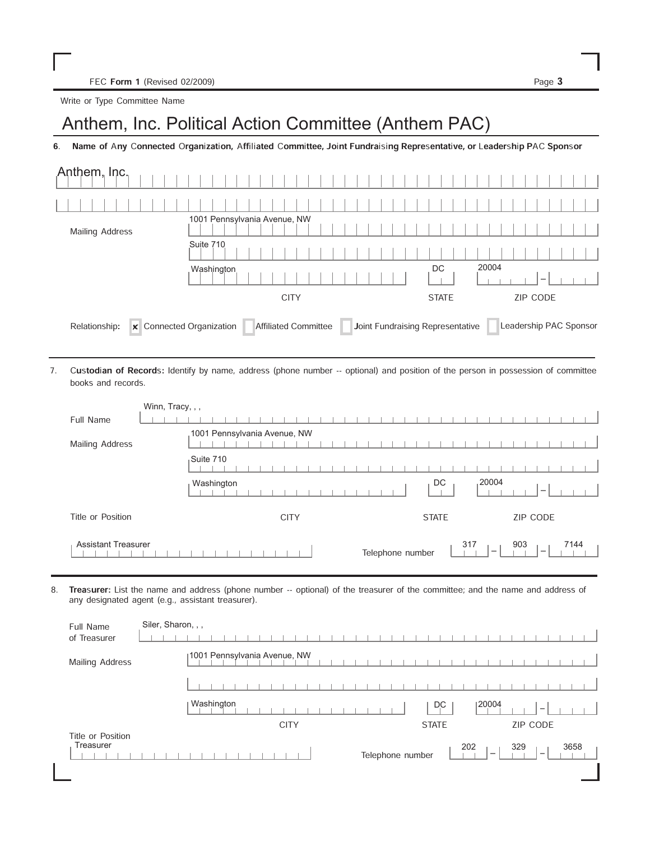FEC Form 1 (Revised 02/2009) Page 3

Write or Type Committee Name

## Anthem, Inc. Political Action Committee (Anthem PAC)

6. Name of Any Connected Organization, Affiliated Committee, Joint Fundraising Representative, or Leadership PAC Sponsor

| Anthem, Inc.                              |                                                                 |                                         |
|-------------------------------------------|-----------------------------------------------------------------|-----------------------------------------|
|                                           |                                                                 |                                         |
| Mailing Address                           | 1001 Pennsylvania Avenue, NW                                    |                                         |
|                                           | Suite 710                                                       |                                         |
|                                           | Washington                                                      | 20004<br>DC<br>$\overline{\phantom{a}}$ |
|                                           | <b>CITY</b>                                                     | <b>ZIP CODE</b><br><b>STATE</b>         |
| x Connected Organization<br>Relationship: | Joint Fundraising Representative<br><b>Affiliated Committee</b> | Leadership PAC Sponsor                  |

Custodian of Records: Identify by name, address (phone number -- optional) and position of the person in possession of committee books and records. 7.

| Winn, Tracy, , ,           |                                                                                                       |
|----------------------------|-------------------------------------------------------------------------------------------------------|
| Full Name                  |                                                                                                       |
| Mailing Address            | 1001 Pennsylvania Avenue, NW                                                                          |
|                            | Suite 710                                                                                             |
|                            | 20004<br>DC<br>Washington                                                                             |
| Title or Position          | ZIP CODE<br><b>STATE</b><br><b>CITY</b>                                                               |
| <b>Assistant Treasurer</b> | 317<br>903<br>7144<br>Telephone number<br>$\hspace{0.1mm}-\hspace{0.1mm}$<br>$\overline{\phantom{a}}$ |

8. Treasurer: List the name and address (phone number -- optional) of the treasurer of the committee; and the name and address of any designated agent (e.g., assistant treasurer).

| Full Name<br>of Treasurer      | Siler, Sharon, , ,                                                                     |
|--------------------------------|----------------------------------------------------------------------------------------|
| Mailing Address                | 1001 Pennsylvania Avenue, NW                                                           |
|                                |                                                                                        |
|                                | Washington<br> 20004<br>DC<br>$\hspace{0.1mm}$                                         |
|                                | ZIP CODE<br><b>CITY</b><br><b>STATE</b>                                                |
| Title or Position<br>Treasurer | 202<br>329<br>3658<br>Telephone number<br>$\hspace{0.1mm}$<br>$\overline{\phantom{a}}$ |